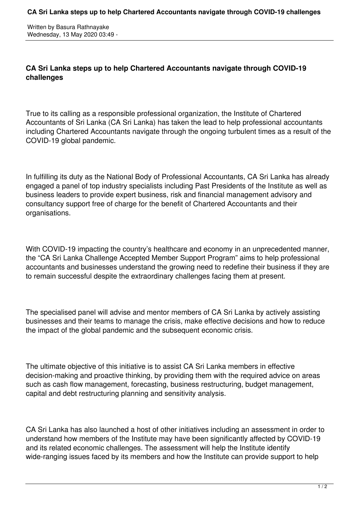Written by Basura Rathnayake Wednesday, 13 May 2020 03:49 -

## **CA Sri Lanka steps up to help Chartered Accountants navigate through COVID-19 challenges**

True to its calling as a responsible professional organization, the Institute of Chartered Accountants of Sri Lanka (CA Sri Lanka) has taken the lead to help professional accountants including Chartered Accountants navigate through the ongoing turbulent times as a result of the COVID-19 global pandemic.

In fulfilling its duty as the National Body of Professional Accountants, CA Sri Lanka has already engaged a panel of top industry specialists including Past Presidents of the Institute as well as business leaders to provide expert business, risk and financial management advisory and consultancy support free of charge for the benefit of Chartered Accountants and their organisations.

With COVID-19 impacting the country's healthcare and economy in an unprecedented manner, the "CA Sri Lanka Challenge Accepted Member Support Program" aims to help professional accountants and businesses understand the growing need to redefine their business if they are to remain successful despite the extraordinary challenges facing them at present.

The specialised panel will advise and mentor members of CA Sri Lanka by actively assisting businesses and their teams to manage the crisis, make effective decisions and how to reduce the impact of the global pandemic and the subsequent economic crisis.

The ultimate objective of this initiative is to assist CA Sri Lanka members in effective decision-making and proactive thinking, by providing them with the required advice on areas such as cash flow management, forecasting, business restructuring, budget management, capital and debt restructuring planning and sensitivity analysis.

CA Sri Lanka has also launched a host of other initiatives including an assessment in order to understand how members of the Institute may have been significantly affected by COVID-19 and its related economic challenges. The assessment will help the Institute identify wide-ranging issues faced by its members and how the Institute can provide support to help